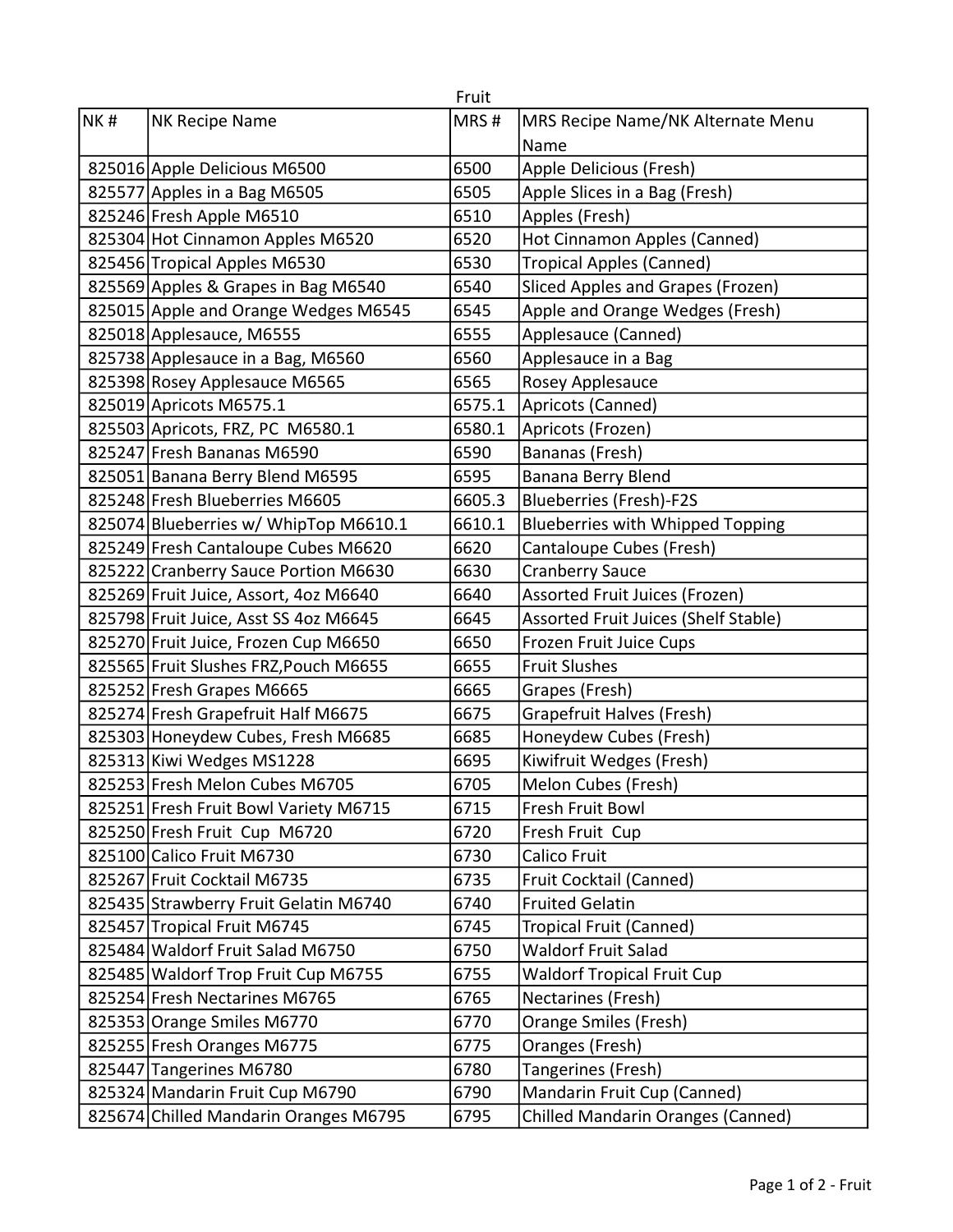|     |                                       | Fruit  |                                          |
|-----|---------------------------------------|--------|------------------------------------------|
| NK# | NK Recipe Name                        | MRS#   | MRS Recipe Name/NK Alternate Menu        |
|     |                                       |        | Name                                     |
|     | 825016 Apple Delicious M6500          | 6500   | Apple Delicious (Fresh)                  |
|     | 825577 Apples in a Bag M6505          | 6505   | Apple Slices in a Bag (Fresh)            |
|     | 825246 Fresh Apple M6510              | 6510   | Apples (Fresh)                           |
|     | 825304 Hot Cinnamon Apples M6520      | 6520   | Hot Cinnamon Apples (Canned)             |
|     | 825456 Tropical Apples M6530          | 6530   | <b>Tropical Apples (Canned)</b>          |
|     | 825569 Apples & Grapes in Bag M6540   | 6540   | Sliced Apples and Grapes (Frozen)        |
|     | 825015 Apple and Orange Wedges M6545  | 6545   | Apple and Orange Wedges (Fresh)          |
|     | 825018 Applesauce, M6555              | 6555   | Applesauce (Canned)                      |
|     | 825738 Applesauce in a Bag, M6560     | 6560   | Applesauce in a Bag                      |
|     | 825398 Rosey Applesauce M6565         | 6565   | Rosey Applesauce                         |
|     | 825019 Apricots M6575.1               | 6575.1 | Apricots (Canned)                        |
|     | 825503 Apricots, FRZ, PC M6580.1      | 6580.1 | Apricots (Frozen)                        |
|     | 825247 Fresh Bananas M6590            | 6590   | Bananas (Fresh)                          |
|     | 825051 Banana Berry Blend M6595       | 6595   | Banana Berry Blend                       |
|     | 825248 Fresh Blueberries M6605        | 6605.3 | <b>Blueberries (Fresh)-F2S</b>           |
|     | 825074 Blueberries w/ WhipTop M6610.1 | 6610.1 | <b>Blueberries with Whipped Topping</b>  |
|     | 825249 Fresh Cantaloupe Cubes M6620   | 6620   | Cantaloupe Cubes (Fresh)                 |
|     | 825222 Cranberry Sauce Portion M6630  | 6630   | <b>Cranberry Sauce</b>                   |
|     | 825269 Fruit Juice, Assort, 4oz M6640 | 6640   | Assorted Fruit Juices (Frozen)           |
|     | 825798 Fruit Juice, Asst SS 4oz M6645 | 6645   | Assorted Fruit Juices (Shelf Stable)     |
|     | 825270 Fruit Juice, Frozen Cup M6650  | 6650   | Frozen Fruit Juice Cups                  |
|     | 825565 Fruit Slushes FRZ, Pouch M6655 | 6655   | <b>Fruit Slushes</b>                     |
|     | 825252 Fresh Grapes M6665             | 6665   | Grapes (Fresh)                           |
|     | 825274 Fresh Grapefruit Half M6675    | 6675   | Grapefruit Halves (Fresh)                |
|     | 825303 Honeydew Cubes, Fresh M6685    | 6685   | Honeydew Cubes (Fresh)                   |
|     | 825313 Kiwi Wedges MS1228             | 6695   | Kiwifruit Wedges (Fresh)                 |
|     | 825253 Fresh Melon Cubes M6705        | 6705   | Melon Cubes (Fresh)                      |
|     | 825251 Fresh Fruit Bowl Variety M6715 | 6715   | Fresh Fruit Bowl                         |
|     | 825250 Fresh Fruit Cup M6720          | 6720   | Fresh Fruit Cup                          |
|     | 825100 Calico Fruit M6730             | 6730   | <b>Calico Fruit</b>                      |
|     | 825267 Fruit Cocktail M6735           | 6735   | Fruit Cocktail (Canned)                  |
|     | 825435 Strawberry Fruit Gelatin M6740 | 6740   | <b>Fruited Gelatin</b>                   |
|     | 825457 Tropical Fruit M6745           | 6745   | Tropical Fruit (Canned)                  |
|     | 825484 Waldorf Fruit Salad M6750      | 6750   | <b>Waldorf Fruit Salad</b>               |
|     | 825485 Waldorf Trop Fruit Cup M6755   | 6755   | <b>Waldorf Tropical Fruit Cup</b>        |
|     | 825254 Fresh Nectarines M6765         | 6765   | Nectarines (Fresh)                       |
|     | 825353 Orange Smiles M6770            | 6770   | Orange Smiles (Fresh)                    |
|     | 825255 Fresh Oranges M6775            | 6775   | Oranges (Fresh)                          |
|     | 825447 Tangerines M6780               | 6780   | Tangerines (Fresh)                       |
|     | 825324 Mandarin Fruit Cup M6790       | 6790   | Mandarin Fruit Cup (Canned)              |
|     | 825674 Chilled Mandarin Oranges M6795 | 6795   | <b>Chilled Mandarin Oranges (Canned)</b> |